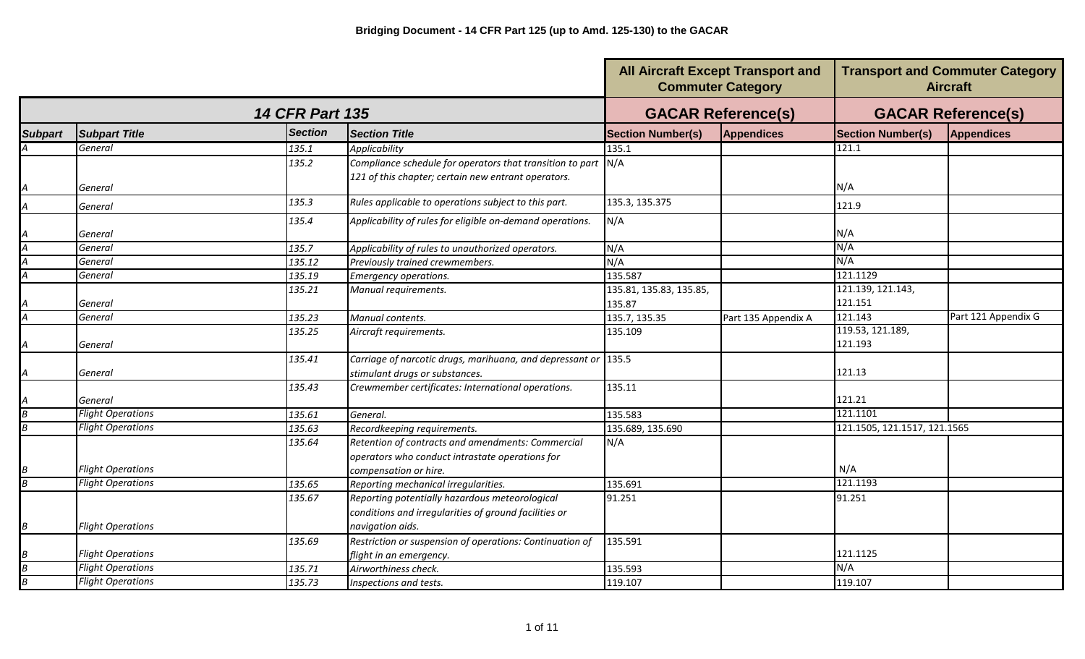|                          |                          |                        |                                                                 | <b>All Aircraft Except Transport and</b><br><b>Commuter Category</b> |                           |                              | <b>Transport and Commuter Category</b><br><b>Aircraft</b> |
|--------------------------|--------------------------|------------------------|-----------------------------------------------------------------|----------------------------------------------------------------------|---------------------------|------------------------------|-----------------------------------------------------------|
|                          |                          | <b>14 CFR Part 135</b> |                                                                 |                                                                      | <b>GACAR Reference(s)</b> | <b>GACAR Reference(s)</b>    |                                                           |
| <b>Subpart</b>           | <b>Subpart Title</b>     | <b>Section</b>         | <b>Section Title</b>                                            | <b>Section Number(s)</b>                                             | <b>Appendices</b>         | <b>Section Number(s)</b>     | <b>Appendices</b>                                         |
|                          | General                  | 135.1                  | Applicability                                                   | 135.1                                                                |                           | 121.1                        |                                                           |
|                          |                          | 135.2                  | Compliance schedule for operators that transition to part $N/A$ |                                                                      |                           |                              |                                                           |
| A                        | General                  |                        | 121 of this chapter; certain new entrant operators.             |                                                                      |                           | N/A                          |                                                           |
| A                        | General                  | 135.3                  | Rules applicable to operations subject to this part.            | 135.3, 135.375                                                       |                           | 121.9                        |                                                           |
|                          | General                  | 135.4                  | Applicability of rules for eligible on-demand operations.       | N/A                                                                  |                           | N/A                          |                                                           |
| $\overline{\mathcal{A}}$ | General                  | 135.7                  | Applicability of rules to unauthorized operators.               | N/A                                                                  |                           | N/A                          |                                                           |
| A                        | General                  | 135.12                 | Previously trained crewmembers.                                 | N/A                                                                  |                           | N/A                          |                                                           |
| $\overline{\mathcal{A}}$ | General                  | 135.19                 | <b>Emergency operations.</b>                                    | 135.587                                                              |                           | 121.1129                     |                                                           |
|                          |                          | 135.21                 | Manual requirements.                                            | 135.81, 135.83, 135.85,                                              |                           | 121.139, 121.143,            |                                                           |
|                          | General                  |                        |                                                                 | 135.87                                                               |                           | 121.151                      |                                                           |
| $\overline{\mathcal{A}}$ | General                  | 135.23                 | Manual contents.                                                | 135.7, 135.35                                                        | Part 135 Appendix A       | 121.143                      | Part 121 Appendix G                                       |
|                          | General                  | 135.25                 | Aircraft requirements.                                          | 135.109                                                              |                           | 119.53, 121.189,<br>121.193  |                                                           |
|                          |                          | 135.41                 | Carriage of narcotic drugs, marihuana, and depressant or 135.5  |                                                                      |                           |                              |                                                           |
| A                        | General                  |                        | stimulant drugs or substances.                                  |                                                                      |                           | 121.13                       |                                                           |
|                          | General                  | 135.43                 | Crewmember certificates: International operations.              | 135.11                                                               |                           | 121.21                       |                                                           |
| B                        | <b>Flight Operations</b> | 135.61                 | General.                                                        | 135.583                                                              |                           | 121.1101                     |                                                           |
| $\boldsymbol{B}$         | <b>Flight Operations</b> | 135.63                 | Recordkeeping requirements.                                     | 135.689, 135.690                                                     |                           | 121.1505, 121.1517, 121.1565 |                                                           |
|                          |                          | 135.64                 | Retention of contracts and amendments: Commercial               | N/A                                                                  |                           |                              |                                                           |
|                          |                          |                        | operators who conduct intrastate operations for                 |                                                                      |                           |                              |                                                           |
| Β                        | <b>Flight Operations</b> |                        | compensation or hire.                                           |                                                                      |                           | N/A                          |                                                           |
| $\overline{B}$           | <b>Flight Operations</b> | 135.65                 | Reporting mechanical irregularities.                            | 135.691                                                              |                           | 121.1193                     |                                                           |
|                          |                          | 135.67                 | Reporting potentially hazardous meteorological                  | 91.251                                                               |                           | 91.251                       |                                                           |
|                          |                          |                        | conditions and irregularities of ground facilities or           |                                                                      |                           |                              |                                                           |
| $\boldsymbol{B}$         | <b>Flight Operations</b> |                        | navigation aids.                                                |                                                                      |                           |                              |                                                           |
|                          |                          | 135.69                 | Restriction or suspension of operations: Continuation of        | 135.591                                                              |                           |                              |                                                           |
|                          | <b>Flight Operations</b> |                        | flight in an emergency.                                         |                                                                      |                           | 121.1125                     |                                                           |
| $\overline{B}$           | <b>Flight Operations</b> | 135.71                 | Airworthiness check.                                            | 135.593                                                              |                           | N/A                          |                                                           |
| $\overline{B}$           | <b>Flight Operations</b> | 135.73                 | Inspections and tests.                                          | 119.107                                                              |                           | 119.107                      |                                                           |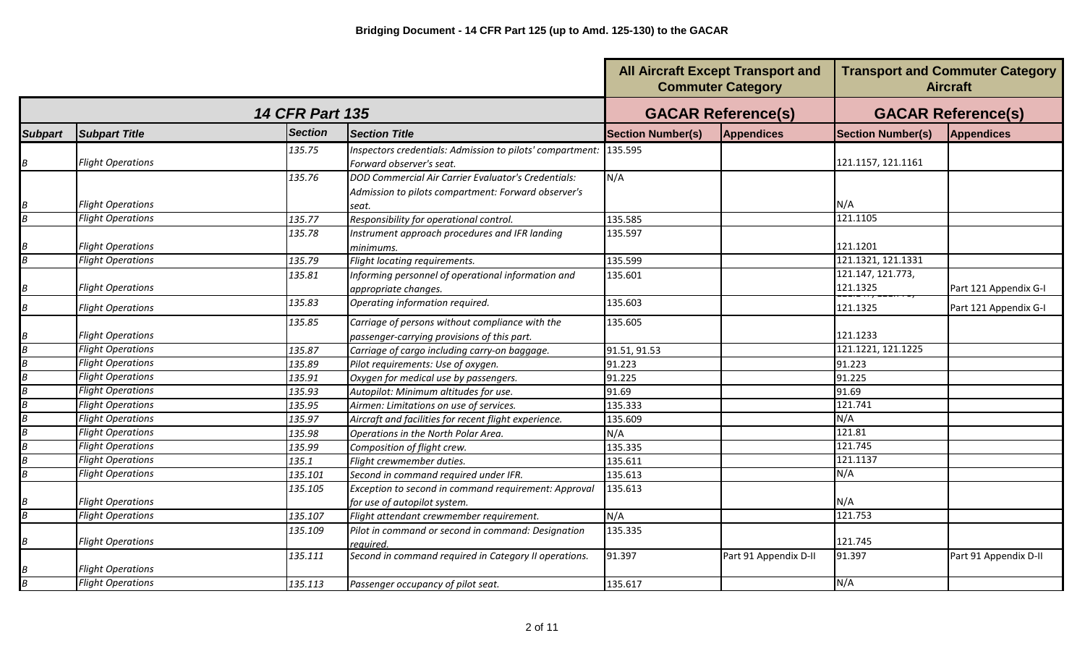|                  |                          |                        |                                                                   |                          | <b>All Aircraft Except Transport and</b><br><b>Commuter Category</b> |                           | <b>Transport and Commuter Category</b><br><b>Aircraft</b> |
|------------------|--------------------------|------------------------|-------------------------------------------------------------------|--------------------------|----------------------------------------------------------------------|---------------------------|-----------------------------------------------------------|
|                  |                          | <b>14 CFR Part 135</b> |                                                                   |                          | <b>GACAR Reference(s)</b>                                            | <b>GACAR Reference(s)</b> |                                                           |
| <b>Subpart</b>   | <b>Subpart Title</b>     | <b>Section</b>         | <b>Section Title</b>                                              | <b>Section Number(s)</b> | <b>Appendices</b>                                                    | <b>Section Number(s)</b>  | <b>Appendices</b>                                         |
|                  |                          | 135.75                 | Inspectors credentials: Admission to pilots' compartment: 135.595 |                          |                                                                      |                           |                                                           |
| B                | <b>Flight Operations</b> |                        | Forward observer's seat.                                          |                          |                                                                      | 121.1157, 121.1161        |                                                           |
|                  |                          | 135.76                 | DOD Commercial Air Carrier Evaluator's Credentials:               | N/A                      |                                                                      |                           |                                                           |
|                  |                          |                        | Admission to pilots compartment: Forward observer's               |                          |                                                                      |                           |                                                           |
| Β                | <b>Flight Operations</b> |                        | seat.                                                             |                          |                                                                      | N/A                       |                                                           |
| $\overline{B}$   | <b>Flight Operations</b> | 135.77                 | Responsibility for operational control.                           | 135.585                  |                                                                      | 121.1105                  |                                                           |
|                  |                          | 135.78                 | Instrument approach procedures and IFR landing                    | 135.597                  |                                                                      |                           |                                                           |
| Β                | <b>Flight Operations</b> |                        | minimums.                                                         |                          |                                                                      | 121.1201                  |                                                           |
| $\boldsymbol{B}$ | <b>Flight Operations</b> | 135.79                 | Flight locating requirements.                                     | 135.599                  |                                                                      | 121.1321, 121.1331        |                                                           |
|                  |                          | 135.81                 | Informing personnel of operational information and                | 135.601                  |                                                                      | 121.147, 121.773,         |                                                           |
| Β                | <b>Flight Operations</b> |                        | appropriate changes.                                              |                          |                                                                      | 121.1325                  | Part 121 Appendix G-I                                     |
| $\boldsymbol{B}$ | <b>Flight Operations</b> | 135.83                 | Operating information required.                                   | 135.603                  |                                                                      | 121.1325                  | Part 121 Appendix G-I                                     |
|                  |                          | 135.85                 | Carriage of persons without compliance with the                   | 135.605                  |                                                                      |                           |                                                           |
| B                | <b>Flight Operations</b> |                        | passenger-carrying provisions of this part.                       |                          |                                                                      | 121.1233                  |                                                           |
| $\overline{B}$   | <b>Flight Operations</b> | 135.87                 | Carriage of cargo including carry-on baggage.                     | 91.51, 91.53             |                                                                      | 121.1221, 121.1225        |                                                           |
| $\overline{B}$   | <b>Flight Operations</b> | 135.89                 | Pilot requirements: Use of oxygen.                                | 91.223                   |                                                                      | 91.223                    |                                                           |
| B                | <b>Flight Operations</b> | 135.91                 | Oxygen for medical use by passengers.                             | 91.225                   |                                                                      | 91.225                    |                                                           |
| B                | <b>Flight Operations</b> | 135.93                 | Autopilot: Minimum altitudes for use.                             | 91.69                    |                                                                      | 91.69                     |                                                           |
| $\overline{B}$   | <b>Flight Operations</b> | 135.95                 | Airmen: Limitations on use of services.                           | 135.333                  |                                                                      | 121.741                   |                                                           |
| $\overline{B}$   | <b>Flight Operations</b> | 135.97                 | Aircraft and facilities for recent flight experience.             | 135.609                  |                                                                      | N/A                       |                                                           |
| $\overline{B}$   | <b>Flight Operations</b> | 135.98                 | Operations in the North Polar Area.                               | N/A                      |                                                                      | 121.81                    |                                                           |
| $\overline{B}$   | <b>Flight Operations</b> | 135.99                 | Composition of flight crew.                                       | 135.335                  |                                                                      | 121.745                   |                                                           |
| $\overline{B}$   | <b>Flight Operations</b> | 135.1                  | Flight crewmember duties.                                         | 135.611                  |                                                                      | 121.1137                  |                                                           |
| $\overline{B}$   | <b>Flight Operations</b> | 135.101                | Second in command required under IFR.                             | 135.613                  |                                                                      | N/A                       |                                                           |
|                  |                          | 135.105                | Exception to second in command requirement: Approval              | 135.613                  |                                                                      |                           |                                                           |
|                  | <b>Flight Operations</b> |                        | for use of autopilot system.                                      |                          |                                                                      | N/A                       |                                                           |
| $\overline{B}$   | <b>Flight Operations</b> | 135.107                | Flight attendant crewmember requirement.                          | N/A                      |                                                                      | 121.753                   |                                                           |
|                  |                          | 135.109                | Pilot in command or second in command: Designation                | 135.335                  |                                                                      |                           |                                                           |
| B                | <b>Flight Operations</b> |                        | reguired.                                                         |                          |                                                                      | 121.745                   |                                                           |
|                  |                          | 135.111                | Second in command required in Category II operations.             | 91.397                   | Part 91 Appendix D-II                                                | 91.397                    | Part 91 Appendix D-II                                     |
|                  | <b>Flight Operations</b> |                        |                                                                   |                          |                                                                      |                           |                                                           |
| $\overline{B}$   | <b>Flight Operations</b> | 135.113                | Passenger occupancy of pilot seat.                                | 135.617                  |                                                                      | N/A                       |                                                           |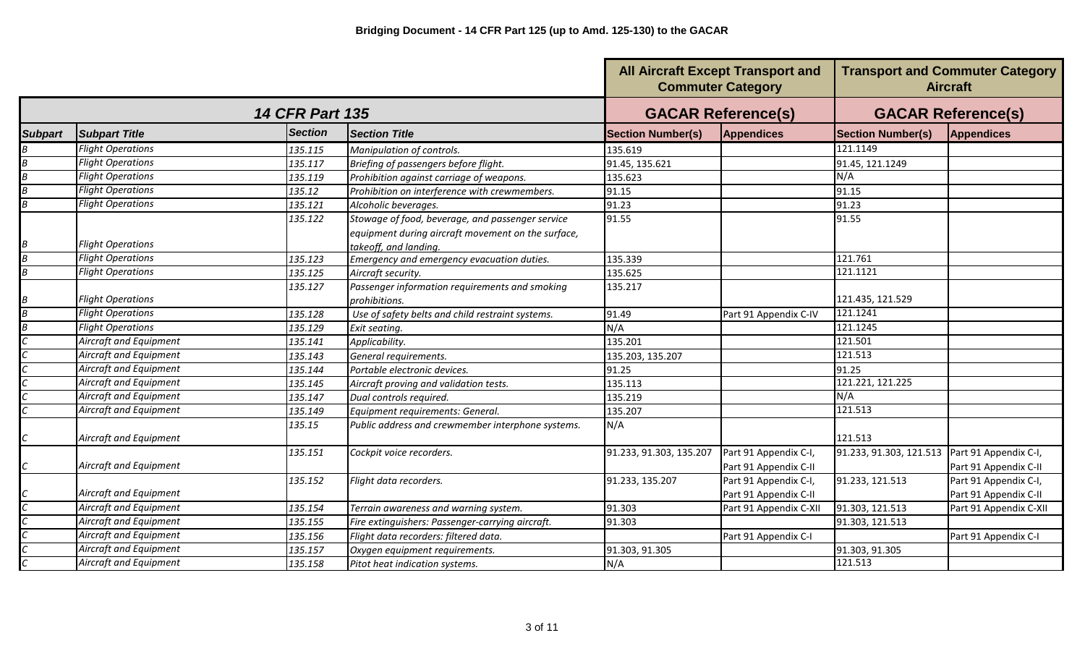|                           |                          |                        |                                                                                                                                 |                          | <b>All Aircraft Except Transport and</b><br><b>Commuter Category</b> |                           | <b>Transport and Commuter Category</b><br><b>Aircraft</b> |
|---------------------------|--------------------------|------------------------|---------------------------------------------------------------------------------------------------------------------------------|--------------------------|----------------------------------------------------------------------|---------------------------|-----------------------------------------------------------|
|                           |                          | <b>14 CFR Part 135</b> |                                                                                                                                 |                          | <b>GACAR Reference(s)</b>                                            | <b>GACAR Reference(s)</b> |                                                           |
| <b>Subpart</b>            | <b>Subpart Title</b>     | <b>Section</b>         | <b>Section Title</b>                                                                                                            | <b>Section Number(s)</b> | Appendices                                                           | <b>Section Number(s)</b>  | <b>Appendices</b>                                         |
|                           | <b>Flight Operations</b> | 135.115                | Manipulation of controls.                                                                                                       | 135.619                  |                                                                      | 121.1149                  |                                                           |
|                           | <b>Flight Operations</b> | 135.117                | Briefing of passengers before flight.                                                                                           | 91.45, 135.621           |                                                                      | 91.45, 121.1249           |                                                           |
|                           | <b>Flight Operations</b> | 135.119                | Prohibition against carriage of weapons.                                                                                        | 135.623                  |                                                                      | N/A                       |                                                           |
|                           | <b>Flight Operations</b> | 135.12                 | Prohibition on interference with crewmembers.                                                                                   | 91.15                    |                                                                      | 91.15                     |                                                           |
|                           | <b>Flight Operations</b> | 135.121                | Alcoholic beverages.                                                                                                            | 91.23                    |                                                                      | 91.23                     |                                                           |
|                           | <b>Flight Operations</b> | 135.122                | Stowage of food, beverage, and passenger service<br>equipment during aircraft movement on the surface,<br>takeoff, and landing. | 91.55                    |                                                                      | 91.55                     |                                                           |
|                           | <b>Flight Operations</b> | 135.123                | Emergency and emergency evacuation duties.                                                                                      | 135.339                  |                                                                      | 121.761                   |                                                           |
| 3                         | <b>Flight Operations</b> | 135.125                | Aircraft security.                                                                                                              | 135.625                  |                                                                      | 121.1121                  |                                                           |
|                           | <b>Flight Operations</b> | 135.127                | Passenger information requirements and smoking<br>prohibitions.                                                                 | 135.217                  |                                                                      | 121.435, 121.529          |                                                           |
|                           | <b>Flight Operations</b> | 135.128                | Use of safety belts and child restraint systems.                                                                                | 91.49                    | Part 91 Appendix C-IV                                                | 121.1241                  |                                                           |
|                           | <b>Flight Operations</b> | 135.129                | Exit seating.                                                                                                                   | N/A                      |                                                                      | 121.1245                  |                                                           |
|                           | Aircraft and Equipment   | 135.141                | Applicability.                                                                                                                  | 135.201                  |                                                                      | 121.501                   |                                                           |
|                           | Aircraft and Equipment   | 135.143                | General requirements.                                                                                                           | 135.203, 135.207         |                                                                      | 121.513                   |                                                           |
|                           | Aircraft and Equipment   | 135.144                | Portable electronic devices.                                                                                                    | 91.25                    |                                                                      | 91.25                     |                                                           |
|                           | Aircraft and Equipment   | 135.145                | Aircraft proving and validation tests.                                                                                          | 135.113                  |                                                                      | 121.221, 121.225          |                                                           |
|                           | Aircraft and Equipment   | 135.147                | Dual controls required.                                                                                                         | 135.219                  |                                                                      | N/A                       |                                                           |
|                           | Aircraft and Equipment   | 135.149                | Equipment requirements: General.                                                                                                | 135.207                  |                                                                      | 121.513                   |                                                           |
|                           | Aircraft and Equipment   | 135.15                 | Public address and crewmember interphone systems.                                                                               | N/A                      |                                                                      | 121.513                   |                                                           |
| $\mathbb{C}^{\mathbb{C}}$ | Aircraft and Equipment   | 135.151                | Cockpit voice recorders.                                                                                                        | 91.233, 91.303, 135.207  | Part 91 Appendix C-I,<br>Part 91 Appendix C-II                       | 91.233, 91.303, 121.513   | Part 91 Appendix C-I,<br>Part 91 Appendix C-II            |
|                           |                          | 135.152                | Flight data recorders.                                                                                                          | 91.233, 135.207          | Part 91 Appendix C-I,                                                | 91.233, 121.513           | Part 91 Appendix C-I,                                     |
|                           | Aircraft and Equipment   |                        |                                                                                                                                 |                          | Part 91 Appendix C-II                                                |                           | Part 91 Appendix C-II                                     |
|                           | Aircraft and Equipment   | 135.154                | Terrain awareness and warning system.                                                                                           | 91.303                   | Part 91 Appendix C-XII                                               | 91.303, 121.513           | Part 91 Appendix C-XII                                    |
|                           | Aircraft and Equipment   | 135.155                | Fire extinguishers: Passenger-carrying aircraft.                                                                                | 91.303                   |                                                                      | 91.303, 121.513           |                                                           |
|                           | Aircraft and Equipment   | 135.156                | Flight data recorders: filtered data.                                                                                           |                          | Part 91 Appendix C-I                                                 |                           | Part 91 Appendix C-I                                      |
|                           | Aircraft and Equipment   | 135.157                | Oxygen equipment requirements.                                                                                                  | 91.303, 91.305           |                                                                      | 91.303, 91.305            |                                                           |
|                           | Aircraft and Equipment   | 135.158                | Pitot heat indication systems.                                                                                                  | N/A                      |                                                                      | 121.513                   |                                                           |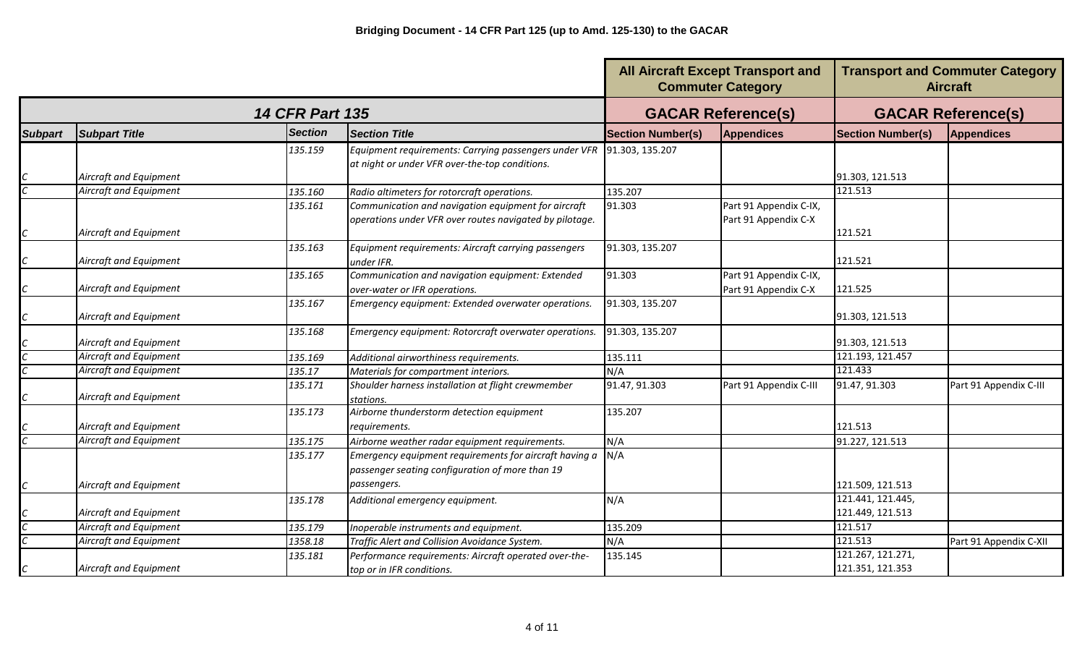|                             |                        |                        |                                                                                                                          |                          | <b>All Aircraft Except Transport and</b><br><b>Commuter Category</b> |                                       | <b>Transport and Commuter Category</b><br><b>Aircraft</b> |
|-----------------------------|------------------------|------------------------|--------------------------------------------------------------------------------------------------------------------------|--------------------------|----------------------------------------------------------------------|---------------------------------------|-----------------------------------------------------------|
|                             |                        | <b>14 CFR Part 135</b> |                                                                                                                          |                          | <b>GACAR Reference(s)</b>                                            | <b>GACAR Reference(s)</b>             |                                                           |
| <b>Subpart</b>              | <b>Subpart Title</b>   | <b>Section</b>         | <b>Section Title</b>                                                                                                     | <b>Section Number(s)</b> | Appendices                                                           | <b>Section Number(s)</b>              | <b>Appendices</b>                                         |
|                             | Aircraft and Equipment | 135.159                | Equipment requirements: Carrying passengers under VFR<br>at night or under VFR over-the-top conditions.                  | 91.303, 135.207          |                                                                      | 91.303, 121.513                       |                                                           |
|                             | Aircraft and Equipment | 135.160                | Radio altimeters for rotorcraft operations.                                                                              | 135.207                  |                                                                      | 121.513                               |                                                           |
| $\mathcal{C}$               | Aircraft and Equipment | 135.161                | Communication and navigation equipment for aircraft<br>operations under VFR over routes navigated by pilotage.           | 91.303                   | Part 91 Appendix C-IX,<br>Part 91 Appendix C-X                       | 121.521                               |                                                           |
| $\mathcal{C}_{\mathcal{C}}$ | Aircraft and Equipment | 135.163                | Equipment requirements: Aircraft carrying passengers<br>under IFR.                                                       | 91.303, 135.207          |                                                                      | 121.521                               |                                                           |
| С                           | Aircraft and Equipment | 135.165                | Communication and navigation equipment: Extended<br>over-water or IFR operations.                                        | 91.303                   | Part 91 Appendix C-IX,<br>Part 91 Appendix C-X                       | 121.525                               |                                                           |
|                             | Aircraft and Equipment | 135.167                | Emergency equipment: Extended overwater operations.                                                                      | 91.303, 135.207          |                                                                      | 91.303, 121.513                       |                                                           |
|                             | Aircraft and Equipment | 135.168                | Emergency equipment: Rotorcraft overwater operations.                                                                    | 91.303, 135.207          |                                                                      | 91.303, 121.513                       |                                                           |
|                             | Aircraft and Equipment | 135.169                | Additional airworthiness requirements.                                                                                   | 135.111                  |                                                                      | 121.193, 121.457                      |                                                           |
|                             | Aircraft and Equipment | 135.17                 | Materials for compartment interiors.                                                                                     | N/A                      |                                                                      | 121.433                               |                                                           |
|                             | Aircraft and Equipment | 135.171                | Shoulder harness installation at flight crewmember<br>stations.                                                          | 91.47, 91.303            | Part 91 Appendix C-III                                               | 91.47, 91.303                         | Part 91 Appendix C-III                                    |
|                             | Aircraft and Equipment | 135.173                | Airborne thunderstorm detection equipment<br>requirements.                                                               | 135.207                  |                                                                      | 121.513                               |                                                           |
|                             | Aircraft and Equipment | 135.175                | Airborne weather radar equipment requirements.                                                                           | N/A                      |                                                                      | 91.227, 121.513                       |                                                           |
| $\mathcal C$                | Aircraft and Equipment | 135.177                | Emergency equipment requirements for aircraft having a<br>passenger seating configuration of more than 19<br>passengers. | N/A                      |                                                                      | 121.509, 121.513                      |                                                           |
|                             | Aircraft and Equipment | 135.178                | Additional emergency equipment.                                                                                          | N/A                      |                                                                      | 121.441, 121.445,<br>121.449, 121.513 |                                                           |
|                             | Aircraft and Equipment | 135.179                | Inoperable instruments and equipment.                                                                                    | 135.209                  |                                                                      | 121.517                               |                                                           |
|                             | Aircraft and Equipment | 1358.18                | Traffic Alert and Collision Avoidance System.                                                                            | N/A                      |                                                                      | 121.513                               | Part 91 Appendix C-XII                                    |
|                             | Aircraft and Equipment | 135.181                | Performance requirements: Aircraft operated over-the-<br>top or in IFR conditions.                                       | 135.145                  |                                                                      | 121.267, 121.271,<br>121.351, 121.353 |                                                           |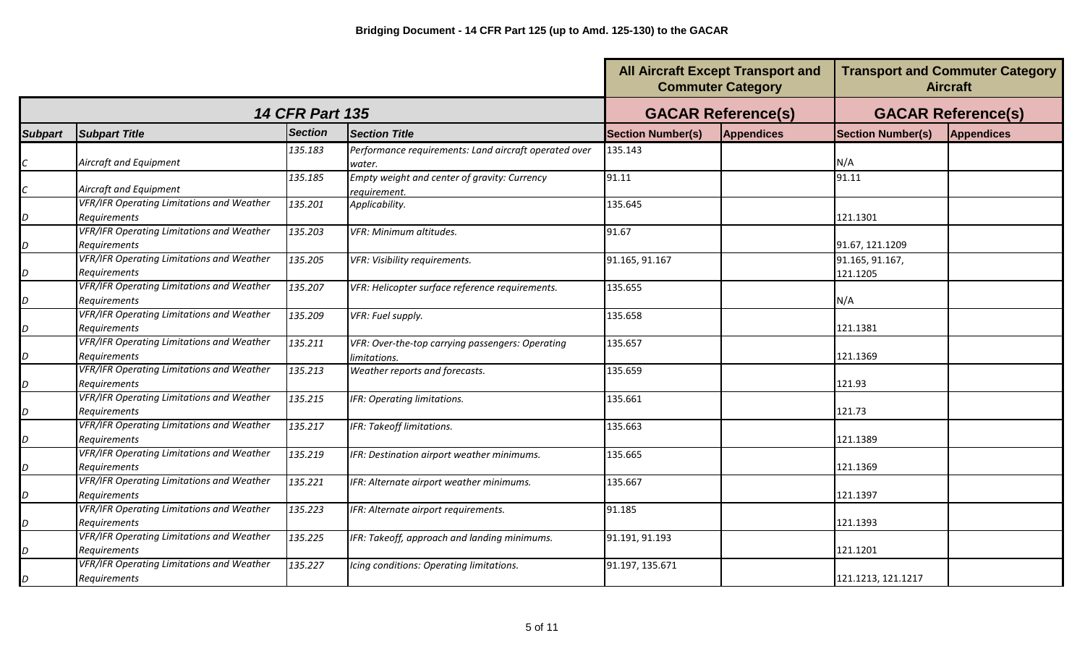|                |                                                                  |                        | <b>Transport and Commuter Category</b><br><b>All Aircraft Except Transport and</b><br><b>Commuter Category</b><br><b>Aircraft</b> |                          |                           |                             |                   |
|----------------|------------------------------------------------------------------|------------------------|-----------------------------------------------------------------------------------------------------------------------------------|--------------------------|---------------------------|-----------------------------|-------------------|
|                |                                                                  | <b>14 CFR Part 135</b> |                                                                                                                                   |                          | <b>GACAR Reference(s)</b> | <b>GACAR Reference(s)</b>   |                   |
| <b>Subpart</b> | <b>Subpart Title</b>                                             | <b>Section</b>         | <b>Section Title</b>                                                                                                              | <b>Section Number(s)</b> | <b>Appendices</b>         | <b>Section Number(s)</b>    | <b>Appendices</b> |
|                | Aircraft and Equipment                                           | 135.183                | Performance requirements: Land aircraft operated over<br>water.                                                                   | 135.143                  |                           | N/A                         |                   |
|                | Aircraft and Equipment                                           | 135.185                | Empty weight and center of gravity: Currency<br>requirement.                                                                      | 91.11                    |                           | 91.11                       |                   |
| D              | <b>VFR/IFR Operating Limitations and Weather</b><br>Requirements | 135.201                | Applicability.                                                                                                                    | 135.645                  |                           | 121.1301                    |                   |
| D              | <b>VFR/IFR Operating Limitations and Weather</b><br>Requirements | 135.203                | VFR: Minimum altitudes.                                                                                                           | 91.67                    |                           | 91.67, 121.1209             |                   |
| D              | <b>VFR/IFR Operating Limitations and Weather</b><br>Requirements | 135.205                | VFR: Visibility requirements.                                                                                                     | 91.165, 91.167           |                           | 91.165, 91.167,<br>121.1205 |                   |
| D              | <b>VFR/IFR Operating Limitations and Weather</b><br>Requirements | 135.207                | VFR: Helicopter surface reference requirements.                                                                                   | 135.655                  |                           | N/A                         |                   |
| D              | <b>VFR/IFR Operating Limitations and Weather</b><br>Requirements | 135.209                | VFR: Fuel supply.                                                                                                                 | 135.658                  |                           | 121.1381                    |                   |
| D              | <b>VFR/IFR Operating Limitations and Weather</b><br>Requirements | 135.211                | VFR: Over-the-top carrying passengers: Operating<br>limitations.                                                                  | 135.657                  |                           | 121.1369                    |                   |
| D              | <b>VFR/IFR Operating Limitations and Weather</b><br>Requirements | 135.213                | Weather reports and forecasts.                                                                                                    | 135.659                  |                           | 121.93                      |                   |
| D              | VFR/IFR Operating Limitations and Weather<br>Requirements        | 135.215                | IFR: Operating limitations.                                                                                                       | 135.661                  |                           | 121.73                      |                   |
| D              | <b>VFR/IFR Operating Limitations and Weather</b><br>Requirements | 135.217                | IFR: Takeoff limitations.                                                                                                         | 135.663                  |                           | 121.1389                    |                   |
| D              | <b>VFR/IFR Operating Limitations and Weather</b><br>Requirements | 135.219                | IFR: Destination airport weather minimums.                                                                                        | 135.665                  |                           | 121.1369                    |                   |
| D              | <b>VFR/IFR Operating Limitations and Weather</b><br>Requirements | 135.221                | IFR: Alternate airport weather minimums.                                                                                          | 135.667                  |                           | 121.1397                    |                   |
| D              | <b>VFR/IFR Operating Limitations and Weather</b><br>Requirements | 135.223                | IFR: Alternate airport requirements.                                                                                              | 91.185                   |                           | 121.1393                    |                   |
| D              | <b>VFR/IFR Operating Limitations and Weather</b><br>Requirements | 135.225                | IFR: Takeoff, approach and landing minimums.                                                                                      | 91.191, 91.193           |                           | 121.1201                    |                   |
| D              | <b>VFR/IFR Operating Limitations and Weather</b><br>Requirements | 135.227                | Icing conditions: Operating limitations.                                                                                          | 91.197, 135.671          |                           | 121.1213, 121.1217          |                   |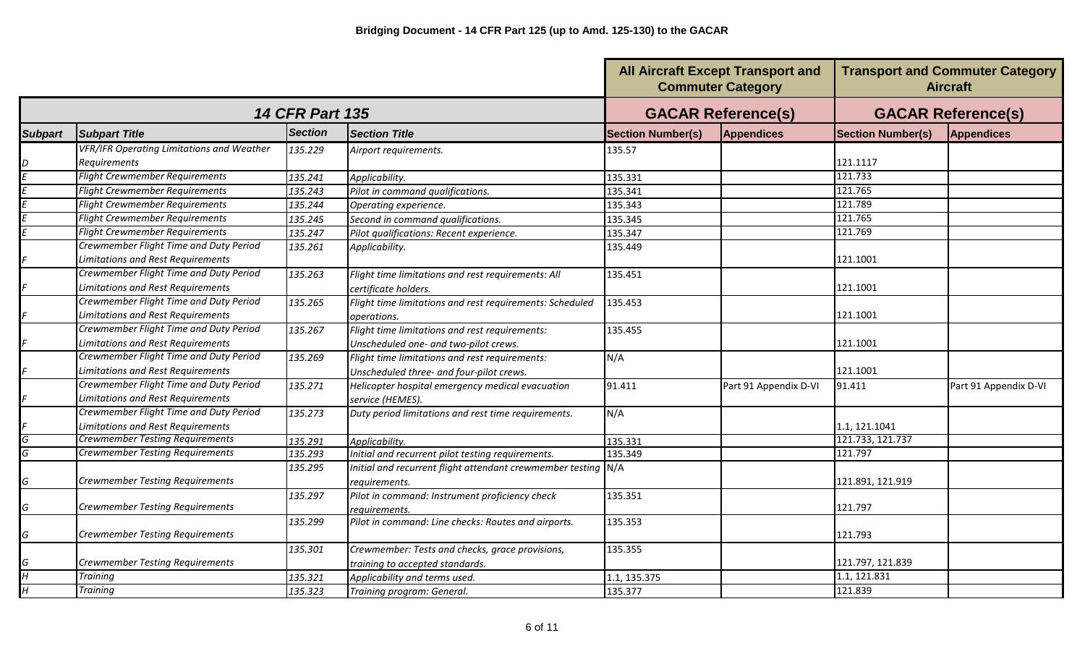|                |                                                  |                        |                                                               | <b>All Aircraft Except Transport and</b><br><b>Commuter Category</b> |                           | <b>Transport and Commuter Category</b><br><b>Aircraft</b> |                       |
|----------------|--------------------------------------------------|------------------------|---------------------------------------------------------------|----------------------------------------------------------------------|---------------------------|-----------------------------------------------------------|-----------------------|
|                |                                                  | <b>14 CFR Part 135</b> |                                                               |                                                                      | <b>GACAR Reference(s)</b> | <b>GACAR Reference(s)</b>                                 |                       |
| <b>Subpart</b> | <b>Subpart Title</b>                             | <b>Section</b>         | <b>Section Title</b>                                          | <b>Section Number(s)</b>                                             | Appendices                | <b>Section Number(s)</b>                                  | <b>Appendices</b>     |
|                | <b>VFR/IFR Operating Limitations and Weather</b> | 135.229                | Airport requirements.                                         | 135.57                                                               |                           |                                                           |                       |
|                | <b>Requirements</b>                              |                        |                                                               |                                                                      |                           | 121.1117                                                  |                       |
|                | <b>Flight Crewmember Requirements</b>            | 135.241                | Applicability.                                                | 135.331                                                              |                           | 121.733                                                   |                       |
|                | <b>Flight Crewmember Requirements</b>            | 135.243                | Pilot in command qualifications.                              | 135.341                                                              |                           | 121.765                                                   |                       |
|                | <b>Flight Crewmember Requirements</b>            | 135.244                | Operating experience.                                         | 135.343                                                              |                           | 121.789                                                   |                       |
|                | <b>Flight Crewmember Requirements</b>            | 135.245                | Second in command qualifications.                             | 135.345                                                              |                           | 121.765                                                   |                       |
|                | <b>Flight Crewmember Requirements</b>            | 135.247                | Pilot qualifications: Recent experience.                      | 135.347                                                              |                           | 121.769                                                   |                       |
|                | Crewmember Flight Time and Duty Period           | 135.261                | Applicability.                                                | 135.449                                                              |                           |                                                           |                       |
|                | <b>Limitations and Rest Requirements</b>         |                        |                                                               |                                                                      |                           | 121.1001                                                  |                       |
|                | Crewmember Flight Time and Duty Period           | 135.263                | Flight time limitations and rest requirements: All            | 135.451                                                              |                           |                                                           |                       |
|                | <b>Limitations and Rest Requirements</b>         |                        | certificate holders.                                          |                                                                      |                           | 121.1001                                                  |                       |
|                | Crewmember Flight Time and Duty Period           | 135.265                | Flight time limitations and rest requirements: Scheduled      | 135.453                                                              |                           |                                                           |                       |
|                | <b>Limitations and Rest Requirements</b>         |                        | operations.                                                   |                                                                      |                           | 121.1001                                                  |                       |
|                | Crewmember Flight Time and Duty Period           | 135.267                | Flight time limitations and rest requirements:                | 135.455                                                              |                           |                                                           |                       |
|                | Limitations and Rest Requirements                |                        | Unscheduled one- and two-pilot crews.                         |                                                                      |                           | 121.1001                                                  |                       |
|                | Crewmember Flight Time and Duty Period           | 135.269                | Flight time limitations and rest requirements:                | N/A                                                                  |                           |                                                           |                       |
|                | Limitations and Rest Requirements                |                        | Unscheduled three- and four-pilot crews.                      |                                                                      |                           | 121.1001                                                  |                       |
|                | Crewmember Flight Time and Duty Period           | 135.271                | Helicopter hospital emergency medical evacuation              | 91.411                                                               | Part 91 Appendix D-VI     | 91.411                                                    | Part 91 Appendix D-VI |
|                | Limitations and Rest Requirements                |                        | service (HEMES).                                              |                                                                      |                           |                                                           |                       |
|                | Crewmember Flight Time and Duty Period           | 135.273                | Duty period limitations and rest time requirements.           | N/A                                                                  |                           |                                                           |                       |
|                | Limitations and Rest Requirements                |                        |                                                               |                                                                      |                           | 1.1, 121.1041                                             |                       |
| G              | <b>Crewmember Testing Requirements</b>           | 135.291                | Applicability.                                                | 135.331                                                              |                           | 121.733, 121.737                                          |                       |
| G              | <b>Crewmember Testing Requirements</b>           | 135.293                | Initial and recurrent pilot testing requirements.             | 135.349                                                              |                           | 121.797                                                   |                       |
|                |                                                  | 135.295                | Initial and recurrent flight attendant crewmember testing N/A |                                                                      |                           |                                                           |                       |
| G              | <b>Crewmember Testing Requirements</b>           |                        | requirements.                                                 |                                                                      |                           | 121.891, 121.919                                          |                       |
|                |                                                  | 135.297                | Pilot in command: Instrument proficiency check                | 135.351                                                              |                           |                                                           |                       |
| G              | Crewmember Testing Requirements                  |                        | reauirements.                                                 |                                                                      |                           | 121.797                                                   |                       |
|                |                                                  | 135.299                | Pilot in command: Line checks: Routes and airports.           | 135.353                                                              |                           |                                                           |                       |
| G              | <b>Crewmember Testing Requirements</b>           |                        |                                                               |                                                                      |                           | 121.793                                                   |                       |
|                |                                                  | 135.301                | Crewmember: Tests and checks, grace provisions,               | 135.355                                                              |                           |                                                           |                       |
| G              | <b>Crewmember Testing Requirements</b>           |                        | training to accepted standards.                               |                                                                      |                           | 121.797, 121.839                                          |                       |
| H              | <b>Training</b>                                  | 135.321                | Applicability and terms used.                                 | 1.1, 135.375                                                         |                           | 1.1, 121.831                                              |                       |
| Η              | <b>Training</b>                                  | 135.323                | Training program: General.                                    | 135.377                                                              |                           | 121.839                                                   |                       |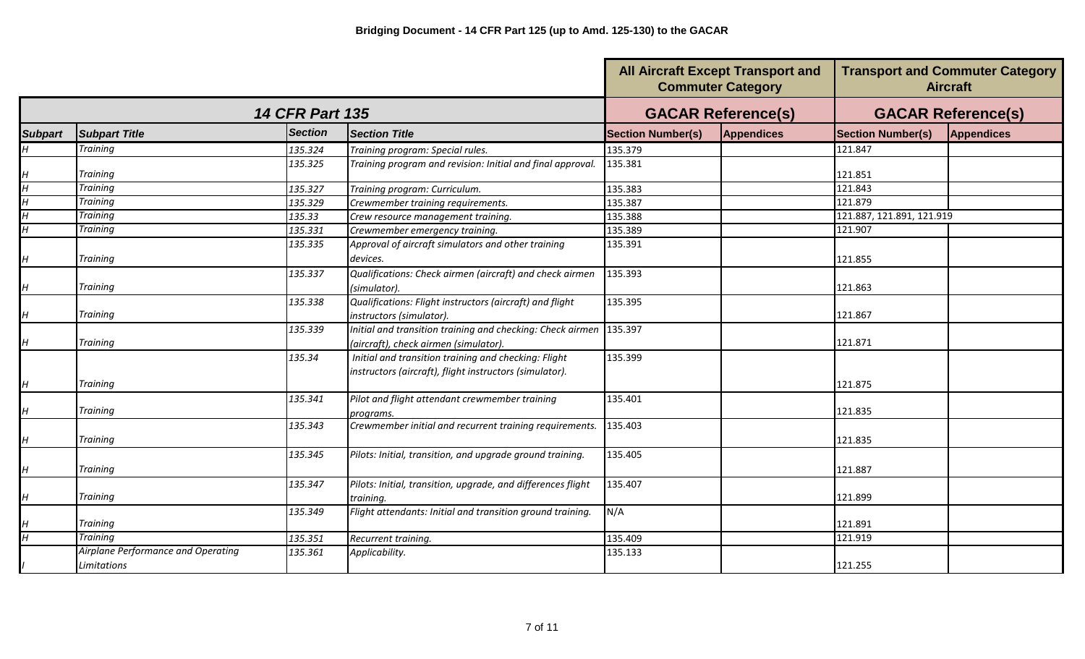|                |                                                   |                        |                                                                                                                 | <b>All Aircraft Except Transport and</b><br><b>Commuter Category</b> | <b>Transport and Commuter Category</b><br><b>Aircraft</b> |                           |                   |
|----------------|---------------------------------------------------|------------------------|-----------------------------------------------------------------------------------------------------------------|----------------------------------------------------------------------|-----------------------------------------------------------|---------------------------|-------------------|
|                |                                                   | <b>14 CFR Part 135</b> |                                                                                                                 |                                                                      | <b>GACAR Reference(s)</b>                                 | <b>GACAR Reference(s)</b> |                   |
| <b>Subpart</b> | <b>Subpart Title</b>                              | <b>Section</b>         | <b>Section Title</b>                                                                                            | <b>Section Number(s)</b>                                             | Appendices                                                | <b>Section Number(s)</b>  | <b>Appendices</b> |
| $\overline{H}$ | Training                                          | 135.324                | Training program: Special rules.                                                                                | 135.379                                                              |                                                           | 121.847                   |                   |
| H              | Training                                          | 135.325                | Training program and revision: Initial and final approval.                                                      | 135.381                                                              |                                                           | 121.851                   |                   |
| $\overline{H}$ | <b>Training</b>                                   | 135.327                | Training program: Curriculum.                                                                                   | 135.383                                                              |                                                           | 121.843                   |                   |
| $\overline{H}$ | <b>Training</b>                                   | 135.329                | Crewmember training requirements.                                                                               | 135.387                                                              |                                                           | 121.879                   |                   |
| $\overline{H}$ | Training                                          | 135.33                 | Crew resource management training.                                                                              | 135.388                                                              |                                                           | 121.887, 121.891, 121.919 |                   |
| $\overline{H}$ | Training                                          | 135.331                | Crewmember emergency training.                                                                                  | 135.389                                                              |                                                           | 121.907                   |                   |
| H              | <b>Training</b>                                   | 135.335                | Approval of aircraft simulators and other training<br>devices.                                                  | 135.391                                                              |                                                           | 121.855                   |                   |
| H              | <b>Training</b>                                   | 135.337                | Qualifications: Check airmen (aircraft) and check airmen<br>(simulator).                                        | 135.393                                                              |                                                           | 121.863                   |                   |
| H              | <b>Training</b>                                   | 135.338                | Qualifications: Flight instructors (aircraft) and flight<br>instructors (simulator).                            | 135.395                                                              |                                                           | 121.867                   |                   |
| H              | Training                                          | 135.339                | Initial and transition training and checking: Check airmen<br>(aircraft), check airmen (simulator).             | 135.397                                                              |                                                           | 121.871                   |                   |
| H              | Training                                          | 135.34                 | Initial and transition training and checking: Flight<br>instructors (aircraft), flight instructors (simulator). | 135.399                                                              |                                                           | 121.875                   |                   |
| H              | <b>Training</b>                                   | 135.341                | Pilot and flight attendant crewmember training<br>programs.                                                     | 135.401                                                              |                                                           | 121.835                   |                   |
| H              | <b>Training</b>                                   | 135.343                | Crewmember initial and recurrent training requirements.                                                         | 135.403                                                              |                                                           | 121.835                   |                   |
| H              | <b>Training</b>                                   | 135.345                | Pilots: Initial, transition, and upgrade ground training.                                                       | 135.405                                                              |                                                           | 121.887                   |                   |
| H              | <b>Training</b>                                   | 135.347                | Pilots: Initial, transition, upgrade, and differences flight<br>training.                                       | 135.407                                                              |                                                           | 121.899                   |                   |
| H              | <b>Training</b>                                   | 135.349                | Flight attendants: Initial and transition ground training.                                                      | N/A                                                                  |                                                           | 121.891                   |                   |
| $\overline{H}$ | <b>Trainina</b>                                   | 135.351                | Recurrent training.                                                                                             | 135.409                                                              |                                                           | 121.919                   |                   |
|                | Airplane Performance and Operating<br>Limitations | 135.361                | Applicability.                                                                                                  | 135.133                                                              |                                                           | 121.255                   |                   |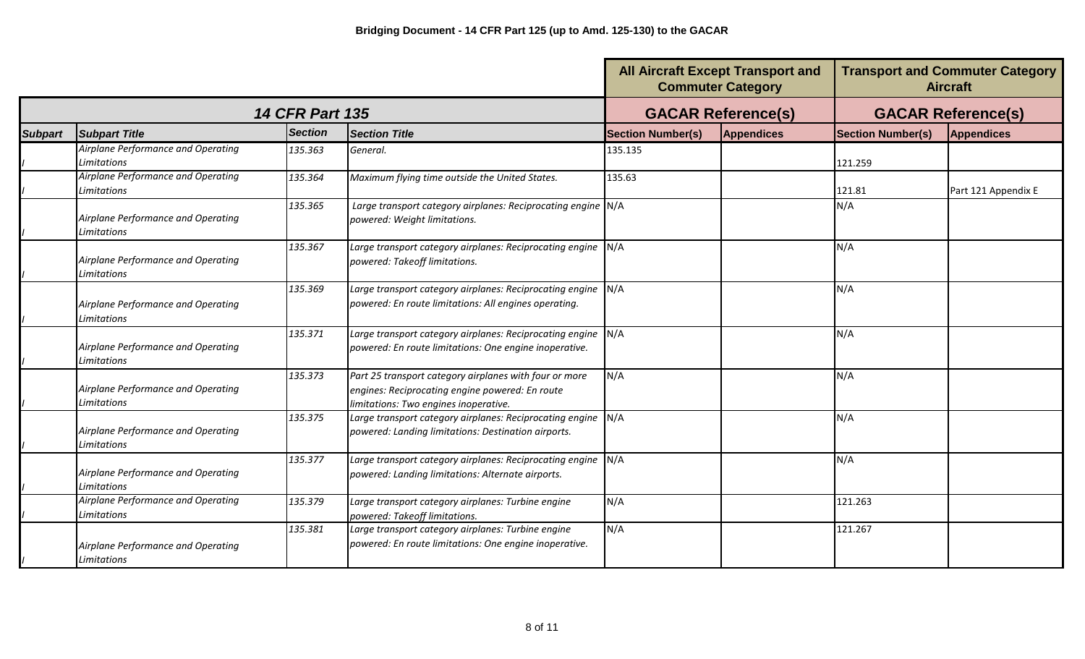|                |                                                          |                        |                                                                                                                                                    |                          | <b>All Aircraft Except Transport and</b><br><b>Commuter Category</b> | <b>Transport and Commuter Category</b><br><b>Aircraft</b> |                     |
|----------------|----------------------------------------------------------|------------------------|----------------------------------------------------------------------------------------------------------------------------------------------------|--------------------------|----------------------------------------------------------------------|-----------------------------------------------------------|---------------------|
|                |                                                          | <b>14 CFR Part 135</b> |                                                                                                                                                    |                          | <b>GACAR Reference(s)</b>                                            | <b>GACAR Reference(s)</b>                                 |                     |
| <b>Subpart</b> | <b>Subpart Title</b>                                     | <b>Section</b>         | Section Title                                                                                                                                      | <b>Section Number(s)</b> | <b>Appendices</b>                                                    | <b>Section Number(s)</b>                                  | <b>Appendices</b>   |
|                | Airplane Performance and Operating<br>Limitations        | 135.363                | General.                                                                                                                                           | 135.135                  |                                                                      | 121.259                                                   |                     |
|                | Airplane Performance and Operating<br>Limitations        | 135.364                | Maximum flying time outside the United States.                                                                                                     | 135.63                   |                                                                      | 121.81                                                    | Part 121 Appendix E |
|                | Airplane Performance and Operating<br>Limitations        | 135.365                | Large transport category airplanes: Reciprocating engine N/A<br>powered: Weight limitations.                                                       |                          |                                                                      | N/A                                                       |                     |
|                | Airplane Performance and Operating<br>Limitations        | 135.367                | Large transport category airplanes: Reciprocating engine N/A<br>powered: Takeoff limitations.                                                      |                          |                                                                      | N/A                                                       |                     |
|                | Airplane Performance and Operating<br>Limitations        | 135.369                | Large transport category airplanes: Reciprocating engine N/A<br>powered: En route limitations: All engines operating.                              |                          |                                                                      | N/A                                                       |                     |
|                | Airplane Performance and Operating<br>Limitations        | 135.371                | Large transport category airplanes: Reciprocating engine N/A<br>powered: En route limitations: One engine inoperative.                             |                          |                                                                      | N/A                                                       |                     |
|                | Airplane Performance and Operating<br>Limitations        | 135.373                | Part 25 transport category airplanes with four or more<br>engines: Reciprocating engine powered: En route<br>limitations: Two engines inoperative. | N/A                      |                                                                      | N/A                                                       |                     |
|                | Airplane Performance and Operating<br>Limitations        | 135.375                | Large transport category airplanes: Reciprocating engine N/A<br>powered: Landing limitations: Destination airports.                                |                          |                                                                      | N/A                                                       |                     |
|                | Airplane Performance and Operating<br><b>Limitations</b> | 135.377                | Large transport category airplanes: Reciprocating engine N/A<br>powered: Landing limitations: Alternate airports.                                  |                          |                                                                      | N/A                                                       |                     |
|                | Airplane Performance and Operating<br>Limitations        | 135.379                | Large transport category airplanes: Turbine engine<br>powered: Takeoff limitations.                                                                | N/A                      |                                                                      | 121.263                                                   |                     |
|                | Airplane Performance and Operating<br>Limitations        | 135.381                | Large transport category airplanes: Turbine engine<br>powered: En route limitations: One engine inoperative.                                       | N/A                      |                                                                      | 121.267                                                   |                     |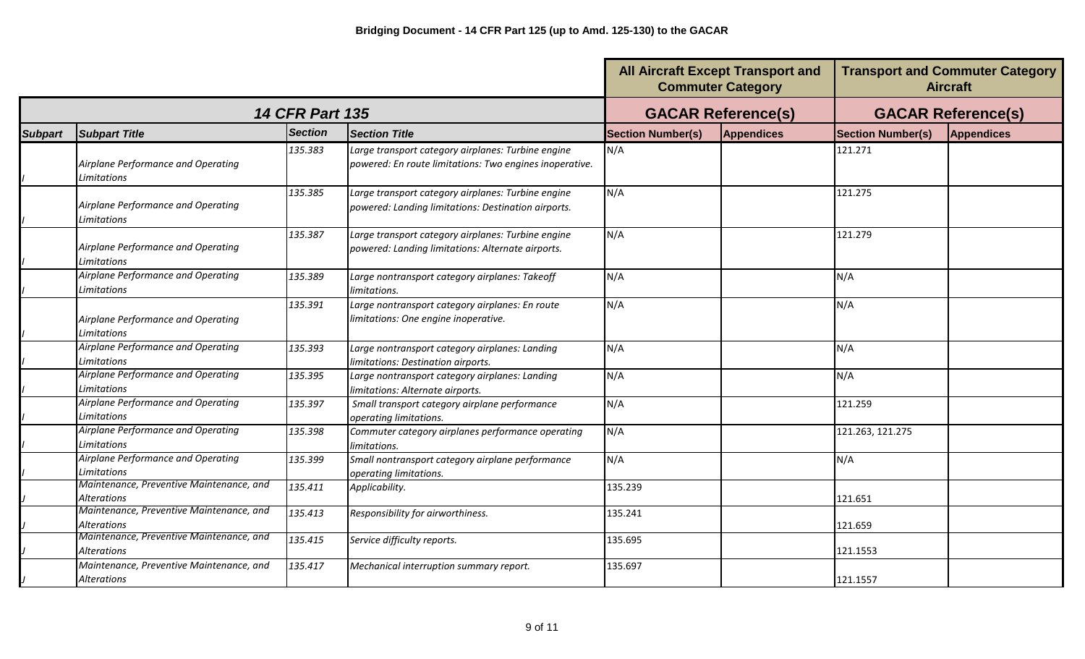|                |                                                                |                        |                                                                                                               | <b>All Aircraft Except Transport and</b><br><b>Commuter Category</b> |                           | <b>Transport and Commuter Category</b><br><b>Aircraft</b> |                   |
|----------------|----------------------------------------------------------------|------------------------|---------------------------------------------------------------------------------------------------------------|----------------------------------------------------------------------|---------------------------|-----------------------------------------------------------|-------------------|
|                |                                                                | <b>14 CFR Part 135</b> |                                                                                                               |                                                                      | <b>GACAR Reference(s)</b> | <b>GACAR Reference(s)</b>                                 |                   |
| <b>Subpart</b> | <b>Subpart Title</b>                                           | <b>Section</b>         | <b>Section Title</b>                                                                                          | <b>Section Number(s)</b>                                             | <b>Appendices</b>         | <b>Section Number(s)</b>                                  | <b>Appendices</b> |
|                | Airplane Performance and Operating<br>Limitations              | 135.383                | Large transport category airplanes: Turbine engine<br>powered: En route limitations: Two engines inoperative. | N/A                                                                  |                           | 121.271                                                   |                   |
|                | Airplane Performance and Operating<br>Limitations              | 135.385                | Large transport category airplanes: Turbine engine<br>powered: Landing limitations: Destination airports.     | N/A                                                                  |                           | 121.275                                                   |                   |
|                | Airplane Performance and Operating<br>Limitations              | 135.387                | Large transport category airplanes: Turbine engine<br>powered: Landing limitations: Alternate airports.       | N/A                                                                  |                           | 121.279                                                   |                   |
|                | Airplane Performance and Operating<br>Limitations              | 135.389                | Large nontransport category airplanes: Takeoff<br>limitations.                                                | N/A                                                                  |                           | N/A                                                       |                   |
|                | Airplane Performance and Operating<br>Limitations              | 135.391                | Large nontransport category airplanes: En route<br>limitations: One engine inoperative.                       | N/A                                                                  |                           | N/A                                                       |                   |
|                | Airplane Performance and Operating<br>Limitations              | 135.393                | Large nontransport category airplanes: Landing<br>limitations: Destination airports.                          | N/A                                                                  |                           | N/A                                                       |                   |
|                | Airplane Performance and Operating<br>Limitations              | 135.395                | Large nontransport category airplanes: Landing<br>limitations: Alternate airports.                            | N/A                                                                  |                           | N/A                                                       |                   |
|                | Airplane Performance and Operating<br>Limitations              | 135.397                | Small transport category airplane performance<br>operating limitations.                                       | N/A                                                                  |                           | 121.259                                                   |                   |
|                | Airplane Performance and Operating<br>Limitations              | 135.398                | Commuter category airplanes performance operating<br>limitations.                                             | N/A                                                                  |                           | 121.263, 121.275                                          |                   |
|                | Airplane Performance and Operating<br>Limitations              | 135.399                | Small nontransport category airplane performance<br>operating limitations.                                    | N/A                                                                  |                           | N/A                                                       |                   |
|                | Maintenance, Preventive Maintenance, and<br><b>Alterations</b> | 135.411                | Applicability.                                                                                                | 135.239                                                              |                           | 121.651                                                   |                   |
|                | Maintenance, Preventive Maintenance, and<br><b>Alterations</b> | 135.413                | Responsibility for airworthiness.                                                                             | 135.241                                                              |                           | 121.659                                                   |                   |
|                | Maintenance, Preventive Maintenance, and<br><b>Alterations</b> | 135.415                | Service difficulty reports.                                                                                   | 135.695                                                              |                           | 121.1553                                                  |                   |
|                | Maintenance, Preventive Maintenance, and<br>Alterations        | 135.417                | Mechanical interruption summary report.                                                                       | 135.697                                                              |                           | 121.1557                                                  |                   |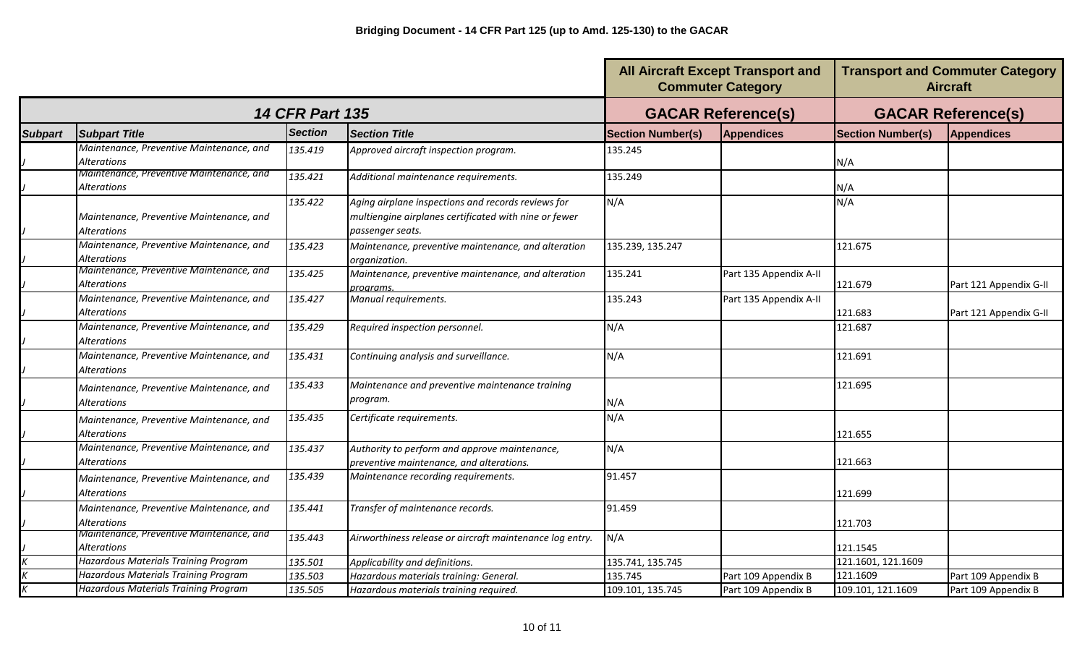|                |                                                                |                        |                                                                                                                                 | <b>All Aircraft Except Transport and</b><br><b>Commuter Category</b> |                           | <b>Transport and Commuter Category</b><br><b>Aircraft</b> |                        |
|----------------|----------------------------------------------------------------|------------------------|---------------------------------------------------------------------------------------------------------------------------------|----------------------------------------------------------------------|---------------------------|-----------------------------------------------------------|------------------------|
|                |                                                                | <b>14 CFR Part 135</b> |                                                                                                                                 |                                                                      | <b>GACAR Reference(s)</b> | <b>GACAR Reference(s)</b>                                 |                        |
| <b>Subpart</b> | <b>Subpart Title</b>                                           | <b>Section</b>         | <b>Section Title</b>                                                                                                            | <b>Section Number(s)</b>                                             | <b>Appendices</b>         | <b>Section Number(s)</b>                                  | <b>Appendices</b>      |
|                | Maintenance, Preventive Maintenance, and<br>Alterations        | 135.419                | Approved aircraft inspection program.                                                                                           | 135.245                                                              |                           | N/A                                                       |                        |
|                | Maintenance, Preventive Maintenance, and<br>Alterations        | 135.421                | Additional maintenance requirements.                                                                                            | 135.249                                                              |                           | N/A                                                       |                        |
|                | Maintenance, Preventive Maintenance, and<br><b>Alterations</b> | 135.422                | Aging airplane inspections and records reviews for<br>multiengine airplanes certificated with nine or fewer<br>passenger seats. | N/A                                                                  |                           | N/A                                                       |                        |
|                | Maintenance, Preventive Maintenance, and<br><b>Alterations</b> | 135.423                | Maintenance, preventive maintenance, and alteration<br>organization.                                                            | 135.239, 135.247                                                     |                           | 121.675                                                   |                        |
|                | Maintenance, Preventive Maintenance, and<br>Alterations        | 135.425                | Maintenance, preventive maintenance, and alteration<br>proarams.                                                                | 135.241                                                              | Part 135 Appendix A-II    | 121.679                                                   | Part 121 Appendix G-II |
|                | Maintenance, Preventive Maintenance, and<br>Alterations        | 135.427                | Manual requirements.                                                                                                            | 135.243                                                              | Part 135 Appendix A-II    | 121.683                                                   | Part 121 Appendix G-II |
|                | Maintenance, Preventive Maintenance, and<br>Alterations        | 135.429                | Required inspection personnel.                                                                                                  | N/A                                                                  |                           | 121.687                                                   |                        |
|                | Maintenance, Preventive Maintenance, and<br>Alterations        | 135.431                | Continuing analysis and surveillance.                                                                                           | N/A                                                                  |                           | 121.691                                                   |                        |
|                | Maintenance, Preventive Maintenance, and<br>Alterations        | 135.433                | Maintenance and preventive maintenance training<br>program.                                                                     | N/A                                                                  |                           | 121.695                                                   |                        |
|                | Maintenance, Preventive Maintenance, and<br>Alterations        | 135.435                | Certificate requirements.                                                                                                       | N/A                                                                  |                           | 121.655                                                   |                        |
|                | Maintenance, Preventive Maintenance, and<br><b>Alterations</b> | 135.437                | Authority to perform and approve maintenance,<br>preventive maintenance, and alterations.                                       | N/A                                                                  |                           | 121.663                                                   |                        |
|                | Maintenance, Preventive Maintenance, and<br><b>Alterations</b> | 135.439                | Maintenance recording requirements.                                                                                             | 91.457                                                               |                           | 121.699                                                   |                        |
|                | Maintenance, Preventive Maintenance, and<br><b>Alterations</b> | 135.441                | Transfer of maintenance records.                                                                                                | 91.459                                                               |                           | 121.703                                                   |                        |
|                | Maintenance, Preventive Maintenance, and<br>Alterations        | 135.443                | Airworthiness release or aircraft maintenance log entry.                                                                        | N/A                                                                  |                           | 121.1545                                                  |                        |
|                | <b>Hazardous Materials Training Program</b>                    | 135.501                | Applicability and definitions.                                                                                                  | 135.741, 135.745                                                     |                           | 121.1601, 121.1609                                        |                        |
|                | <b>Hazardous Materials Training Program</b>                    | 135.503                | Hazardous materials training: General.                                                                                          | 135.745                                                              | Part 109 Appendix B       | 121.1609                                                  | Part 109 Appendix B    |
|                | <b>Hazardous Materials Training Program</b>                    | 135.505                | Hazardous materials training required.                                                                                          | 109.101, 135.745                                                     | Part 109 Appendix B       | 109.101, 121.1609                                         | Part 109 Appendix B    |